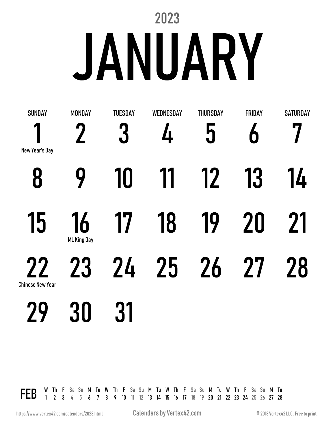# 2023 **JANUARY**

| <b>SUNDAY</b>                 | <b>MONDAY</b>            | <b>TUESDAY</b> | <b>WEDNESDAY</b> | <b>THURSDAY</b> | FRIDAY | <b>SATURDAY</b> |
|-------------------------------|--------------------------|----------------|------------------|-----------------|--------|-----------------|
| New Year's Day                | $\mathbf{Z}$             | 3              | 4                | 5               | 6      |                 |
| 8                             | 9                        | 10             | 11               | 12              | 13     | 14              |
| 15                            | 16<br><b>ML King Day</b> | 17             | 18               | 19              | 20     | 21              |
| 22<br><b>Chinese New Year</b> | 23                       | 24             | 25               | 26              | 27     | 28              |
| 79                            | 30                       | 31             |                  |                 |        |                 |
|                               |                          |                |                  |                 |        |                 |

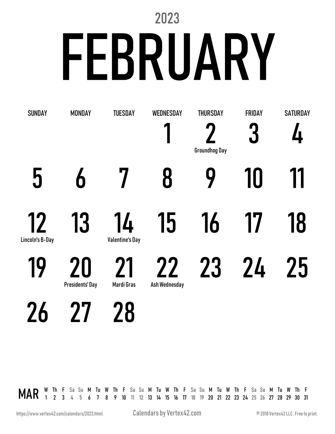# 2023 FEBRUARY

| <b>SUNDAY</b>         | <b>MONDAY</b>                | <b>TUESDAY</b>               | <b>WEDNESDAY</b>    | <b>THURSDAY</b>      | FRIDAY | <b>SATURDAY</b> |
|-----------------------|------------------------------|------------------------------|---------------------|----------------------|--------|-----------------|
|                       |                              |                              |                     | <b>Groundhog Day</b> | 3      | Д.              |
| 5                     | 6                            |                              | 8                   |                      | 10     | 11              |
| 12<br>Lincoln's B-Day | 13                           | 14<br><b>Valentine's Day</b> | 15                  | 16                   | 17     | 18              |
| 19                    | 20<br><b>Presidents' Day</b> | 71<br>Mardi Gras             | 22<br>Ash Wednesday | 23                   | 24     | 25              |
| D                     |                              | Ŏ                            |                     |                      |        |                 |

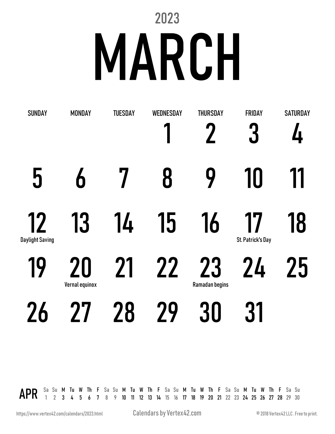# 2023 MARCH

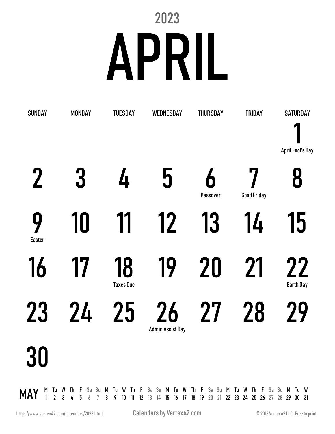### 2023 APRIL

|             | <b>SUNDAY</b><br><b>MONDAY</b> |    |                        |   | <b>TUESDAY</b> |    |                         |    | WEDNESDAY |   |    | <b>THURSDAY</b> |               | FRIDAY                                                                                                                                                                |  |                               |    | <b>SATURDAY</b> |   |                         |  |
|-------------|--------------------------------|----|------------------------|---|----------------|----|-------------------------|----|-----------|---|----|-----------------|---------------|-----------------------------------------------------------------------------------------------------------------------------------------------------------------------|--|-------------------------------|----|-----------------|---|-------------------------|--|
|             |                                |    |                        |   |                |    |                         |    |           |   |    |                 |               |                                                                                                                                                                       |  |                               |    |                 |   | <b>April Fool's Day</b> |  |
| $\mathbf 2$ |                                |    |                        | 3 |                |    | Δ.                      |    |           | 5 |    |                 | 6<br>Passover |                                                                                                                                                                       |  | <b>Good Friday</b>            |    |                 | 8 |                         |  |
|             | 9<br>10<br><b>Easter</b>       |    |                        |   | 11             |    |                         | 12 |           |   | 13 |                 |               | 14                                                                                                                                                                    |  |                               | 15 |                 |   |                         |  |
| 17<br>16    |                                |    | 18<br><b>Taxes Due</b> |   |                | 19 |                         |    | 20        |   |    | 21              |               |                                                                                                                                                                       |  | <b>22</b><br><b>Earth Day</b> |    |                 |   |                         |  |
| 23<br>24    |                                | 25 |                        |   |                | 26 | <b>Admin Assist Day</b> |    | 27        |   |    | 28              |               |                                                                                                                                                                       |  | 29                            |    |                 |   |                         |  |
| <b>30</b>   |                                |    |                        |   |                |    |                         |    |           |   |    |                 |               |                                                                                                                                                                       |  |                               |    |                 |   |                         |  |
| MAY         |                                |    |                        |   |                |    |                         |    |           |   |    |                 |               | M Tu W Th F Sa Su M Tu W Th F Sa Su M Tu W Th F Sa Su M Tu W Th F Sa Su M Tu W<br>1 2 3 4 5 6 7 8 9 10 11 12 13 14 15 16 17 18 19 20 21 22 23 24 25 26 27 28 29 30 31 |  |                               |    |                 |   |                         |  |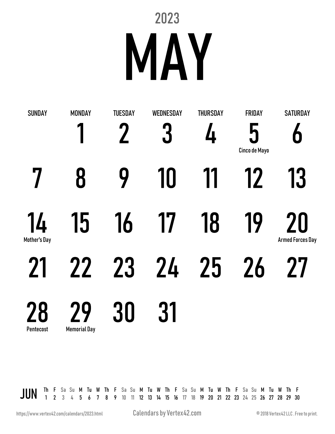### 2023 MAY

| <b>SUNDAY</b>      | <b>MONDAY</b>             | <b>TUESDAY</b> | WEDNESDAY | <b>THURSDAY</b> | <b>FRIDAY</b>      | <b>SATURDAY</b>               |
|--------------------|---------------------------|----------------|-----------|-----------------|--------------------|-------------------------------|
|                    |                           |                | 3         | 4               | 5<br>Cinco de Mayo | 6                             |
| 7                  | 8                         | 9              | 10        | 11              | 12                 | 13                            |
| 14<br>Mother's Day | 15                        | 16             | 17        | 18              | 19                 | 20<br><b>Armed Forces Day</b> |
| 21                 | 22                        | 23             | 24        | 25              | 26                 | <b>27</b>                     |
| 28<br>Pentecost    | 79<br><b>Memorial Day</b> | 30             | 31        |                 |                    |                               |

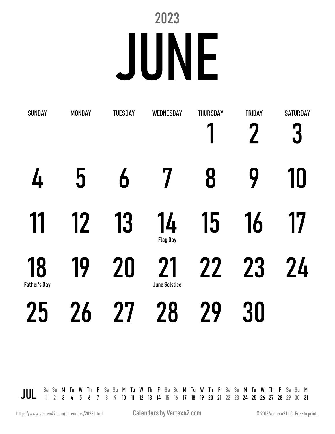#### 2023 JUNE

| <b>SUNDAY</b>             | <b>MONDAY</b> | <b>TUESDAY</b> | <b>WEDNESDAY</b>           | <b>THURSDAY</b> | <b>FRIDAY</b> | <b>SATURDAY</b><br>3 |
|---------------------------|---------------|----------------|----------------------------|-----------------|---------------|----------------------|
| 4                         | 5             | 6              |                            | 8               | 9             | 10                   |
| 11                        | 12            | 13             | 14<br><b>Flag Day</b>      | 15              | 16            | 17                   |
| 18<br><b>Father's Day</b> | 19            | 20             | 21<br><b>June Solstice</b> | 22              | 23            | 24                   |
| 25                        | <b>26</b>     | 27             | 28                         | 29              | 30            |                      |

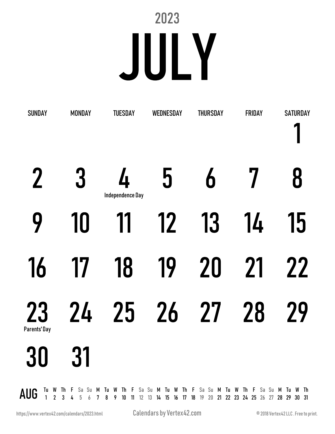### 2023 JULY

| <b>SUNDAY</b>                                                                                                                                                                             | <b>MONDAY</b> |  |                  |  |  |                  |    | <b>TUESDAY</b> |  |  | WEDNESDAY |  |  | <b>THURSDAY</b> |  |  | <b>FRIDAY</b> |  |  |           | <b>SATURDAY</b> |
|-------------------------------------------------------------------------------------------------------------------------------------------------------------------------------------------|---------------|--|------------------|--|--|------------------|----|----------------|--|--|-----------|--|--|-----------------|--|--|---------------|--|--|-----------|-----------------|
| $\mathbf 2$                                                                                                                                                                               |               |  | 3                |  |  | Independence Day | Δ. |                |  |  | 5         |  |  | 6               |  |  |               |  |  | 8         |                 |
| 9                                                                                                                                                                                         |               |  | 10               |  |  |                  | 11 |                |  |  | 12        |  |  | 13              |  |  | 14            |  |  | 15        |                 |
| 16                                                                                                                                                                                        |               |  | 17               |  |  |                  | 18 |                |  |  | 19        |  |  | 20              |  |  | 21            |  |  | <b>22</b> |                 |
| <b>23</b><br>Parents' Day                                                                                                                                                                 |               |  | 24               |  |  |                  |    | 25             |  |  | 26        |  |  | 27              |  |  | 28            |  |  | 29        |                 |
| M (<br><b>30</b>                                                                                                                                                                          |               |  | <b>n</b> 1<br>31 |  |  |                  |    |                |  |  |           |  |  |                 |  |  |               |  |  |           |                 |
| AUG <sup>Tu</sup> W Th F Sa Su M Tu W Th F Sa Su M Tu W Th F Sa Su M Tu W Th F Sa Su M Tu W Th<br>AUG 1 2 3 4 5 6 7 8 9 10 11 12 13 14 15 16 17 18 19 20 21 22 23 24 25 26 27 28 29 30 31 |               |  |                  |  |  |                  |    |                |  |  |           |  |  |                 |  |  |               |  |  |           |                 |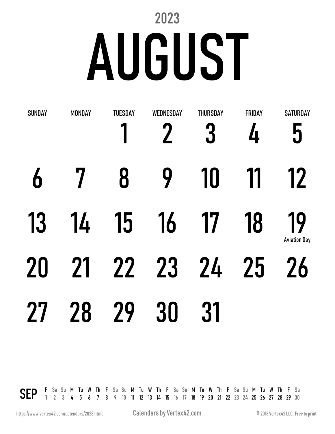# 2023 AUGUST

| <b>SUNDAY</b> | <b>MONDAY</b> | <b>TUESDAY</b> | WEDNESDAY | <b>THURSDAY</b><br>3 | FRIDAY<br>4 | <b>SATURDAY</b><br>5      |
|---------------|---------------|----------------|-----------|----------------------|-------------|---------------------------|
| 6             |               | 8              | 9         | 10                   | 11          | 12                        |
| 13            | 14            | 15             | 16        | 17                   | 18          | 19<br><b>Aviation Day</b> |
| 20            | 21            | 22             | 23        | 24                   | 25          | <b>26</b>                 |
| <b>27</b>     | 28            | 29             | 30        | 31                   |             |                           |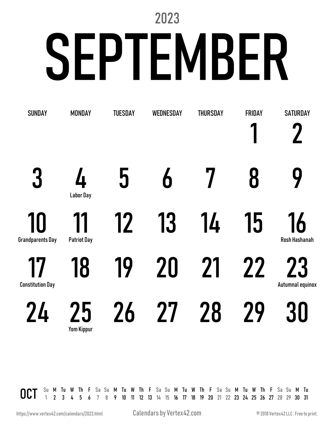# 2023 SEPTEMBER

| <b>SUNDAY</b>                 | <b>MONDAY</b>            | <b>TUESDAY</b> | WEDNESDAY | <b>THURSDAY</b> | <b>FRIDAY</b> | <b>SATURDAY</b>               |
|-------------------------------|--------------------------|----------------|-----------|-----------------|---------------|-------------------------------|
| 3                             | 4<br><b>Labor Day</b>    | <u> ს</u>      | 6         |                 | 8             | 9                             |
| 10<br><b>Grandparents Day</b> | 11<br><b>Patriot Day</b> | 12             | 13        | 14              | 15            | 16<br>Rosh Hashanah           |
| 17<br><b>Constitution Day</b> | 18                       | 19             | 20        | 21              | <b>22</b>     | <b>23</b><br>Autumnal equinox |
| 24                            | 25<br><b>Yom Kippur</b>  | 26             | 77        | 28              | 79            | 30                            |

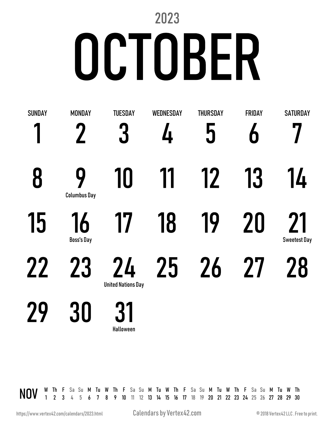# 2023 OCTOBER

| <b>SUNDAY</b> | <b>MONDAY</b>                   | <b>TUESDAY</b>                  | <b>WEDNESDAY</b> | <b>THURSDAY</b> | FRIDAY | <b>SATURDAY</b>           |
|---------------|---------------------------------|---------------------------------|------------------|-----------------|--------|---------------------------|
|               |                                 | 3                               | 4                | 5               | Ò      |                           |
| 8             | <b>Q</b><br><b>Columbus Day</b> | 10                              | 11               | 12              | 13     | 14                        |
| 15            | 16<br><b>Boss's Day</b>         | 17                              | 18               | 19              | 20     | 21<br><b>Sweetest Day</b> |
| 22            | 23                              | 24<br><b>United Nations Day</b> | 25               | 26              | 27     | 28                        |
|               | 30                              |                                 |                  |                 |        |                           |

NOV W Th F Sa Su M Tu W Th F Sa Su M Tu W Th F Sa Su M Tu W Th F Sa Su M Tu W Th Nov Th Nov Th Nov Th Nov Th Nov Th Nov Th Nov Th Nov Th Nov Th Nov Th Nov Th Nov Th Nov Th Nov Th Nov Th Nov Th Nov Th Nov Th Nov Th Nov Th N

Halloween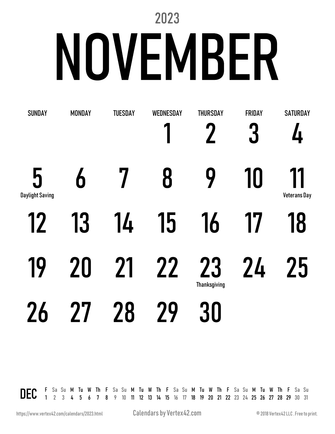# 2023 NOVEMBER

| <b>SUNDAY</b>               | <b>MONDAY</b> | <b>TUESDAY</b> | WEDNESDAY | <b>THURSDAY</b>           | FRIDAY<br>3 | <b>SATURDAY</b><br>4      |
|-----------------------------|---------------|----------------|-----------|---------------------------|-------------|---------------------------|
| 5<br><b>Daylight Saving</b> | 6             |                | 8         | 9                         | 10          | 11<br><b>Veterans Day</b> |
| 12                          | 13            | 14             | 15        | 16                        | 17          | 18                        |
| 19                          | 20            | 21             | 22        | 23<br><b>Thanksgiving</b> | 24          | 25                        |
| 26                          | 27            | 28             | 29        | 30                        |             |                           |